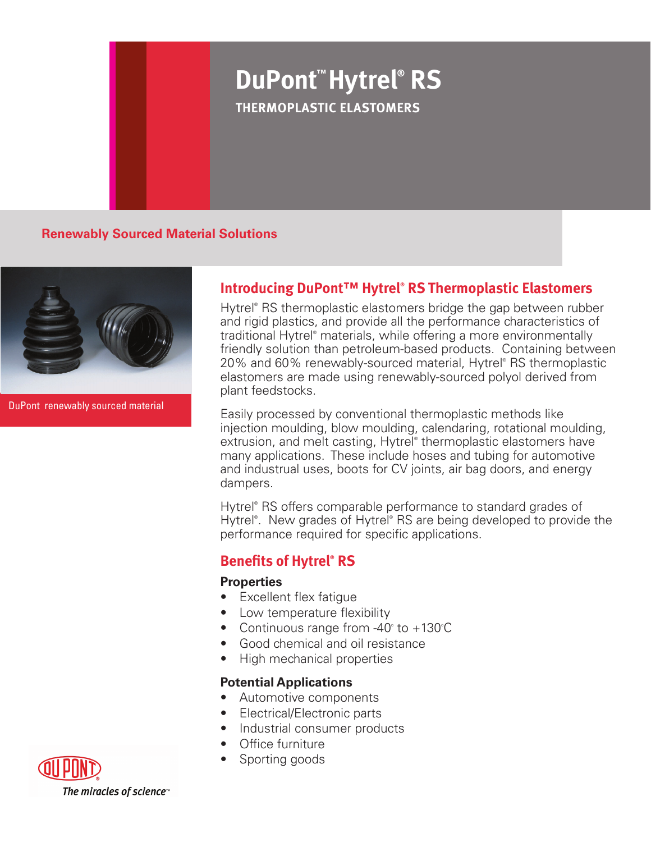# **DuPont™ Hytrel® RS Thermoplastic Elastomers**

**Renewably Sourced Material Solutions**



DuPont renewably sourced material

# **Introducing DuPont™ Hytrel® RS Thermoplastic Elastomers**

Hytrel® RS thermoplastic elastomers bridge the gap between rubber and rigid plastics, and provide all the performance characteristics of traditional Hytrel® materials, while offering a more environmentally friendly solution than petroleum-based products. Containing between 20% and 60% renewably-sourced material, Hytrel® RS thermoplastic elastomers are made using renewably-sourced polyol derived from plant feedstocks.

Easily processed by conventional thermoplastic methods like injection moulding, blow moulding, calendaring, rotational moulding, extrusion, and melt casting, Hytrel® thermoplastic elastomers have many applications. These include hoses and tubing for automotive and industrual uses, boots for CV joints, air bag doors, and energy dampers.

Hytrel® RS offers comparable performance to standard grades of Hytrel<sup>®</sup>. New grades of Hytrel® RS are being developed to provide the performance required for specific applications.

## **Benefits of Hytrel® RS**

### **Properties**

- Excellent flex fatique
- Low temperature flexibility
- Continuous range from -40 $^{\circ}$  to +130 $^{\circ}$ C
- • Good chemical and oil resistance
- High mechanical properties

### **Potential Applications**

- • Automotive components
- • Electrical/Electronic parts
- Industrial consumer products
- Office furniture
- Sporting goods



The miracles of science<sup>®</sup>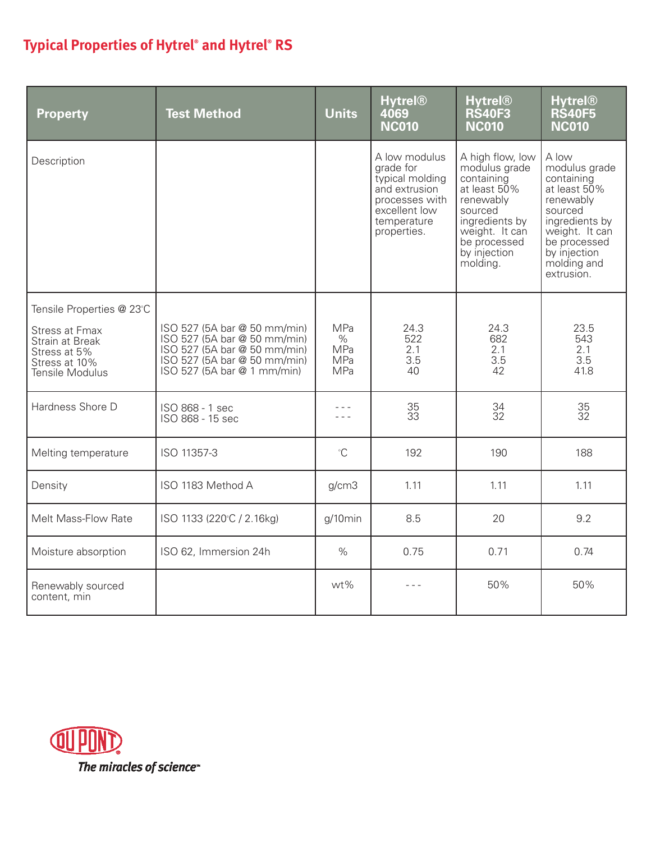# **Typical Properties of Hytrel® and Hytrel® RS**

| <b>Property</b>                                                                                                           | <b>Test Method</b>                                                                                                                                          | <b>Units</b>                            | <b>Hytrel®</b><br>4069<br><b>NC010</b>                                                                                          | <b>Hytrel®</b><br><b>RS40F3</b><br><b>NC010</b>                                                                                                                         | <b>Hytrel®</b><br><b>RS40F5</b><br><b>NC010</b>                                                                                                                               |
|---------------------------------------------------------------------------------------------------------------------------|-------------------------------------------------------------------------------------------------------------------------------------------------------------|-----------------------------------------|---------------------------------------------------------------------------------------------------------------------------------|-------------------------------------------------------------------------------------------------------------------------------------------------------------------------|-------------------------------------------------------------------------------------------------------------------------------------------------------------------------------|
| Description                                                                                                               |                                                                                                                                                             |                                         | A low modulus<br>grade for<br>typical molding<br>and extrusion<br>processes with<br>excellent low<br>temperature<br>properties. | A high flow, low<br>modulus grade<br>containing<br>at least 50%<br>renewably<br>sourced<br>ingredients by<br>weight. It can<br>be processed<br>by injection<br>molding. | A low<br>modulus grade<br>containing<br>at least 50%<br>renewably<br>sourced<br>ingredients by<br>weight. It can<br>be processed<br>by injection<br>molding and<br>extrusion. |
| Tensile Properties @ 23°C<br><b>Stress at Fmax</b><br>Strain at Break<br>Stress at 5%<br>Stress at 10%<br>Tensile Modulus | ISO 527 (5A bar @ 50 mm/min)<br>ISO 527 (5A bar @ 50 mm/min)<br>ISO 527 (5A bar @ 50 mm/min)<br>ISO 527 (5A bar @ 50 mm/min)<br>ISO 527 (5A bar @ 1 mm/min) | MPa<br>$\%$<br>MPa<br>MPa<br><b>MPa</b> | 24.3<br>522<br>2.1<br>3.5<br>40                                                                                                 | 24.3<br>682<br>2.1<br>3.5<br>42                                                                                                                                         | 23.5<br>543<br>2.1<br>3.5<br>41.8                                                                                                                                             |
| Hardness Shore D                                                                                                          | ISO 868 - 1 sec<br>ISO 868 - 15 sec                                                                                                                         |                                         | $\frac{35}{33}$                                                                                                                 | 34<br>32                                                                                                                                                                | $\begin{array}{c} 35 \\ 32 \end{array}$                                                                                                                                       |
| Melting temperature                                                                                                       | ISO 11357-3                                                                                                                                                 | $\mathrm{C}$                            | 192                                                                                                                             | 190                                                                                                                                                                     | 188                                                                                                                                                                           |
| Density                                                                                                                   | ISO 1183 Method A                                                                                                                                           | g/cm3                                   | 1.11                                                                                                                            | 1.11                                                                                                                                                                    | 1.11                                                                                                                                                                          |
| Melt Mass-Flow Rate                                                                                                       | ISO 1133 (220°C / 2.16kg)                                                                                                                                   | g/10min                                 | 8.5                                                                                                                             | 20                                                                                                                                                                      | 9.2                                                                                                                                                                           |
| Moisture absorption                                                                                                       | ISO 62, Immersion 24h                                                                                                                                       | $\%$                                    | 0.75                                                                                                                            | 0.71                                                                                                                                                                    | 0.74                                                                                                                                                                          |
| Renewably sourced<br>content, min                                                                                         |                                                                                                                                                             | wt%                                     | - - -                                                                                                                           | 50%                                                                                                                                                                     | 50%                                                                                                                                                                           |